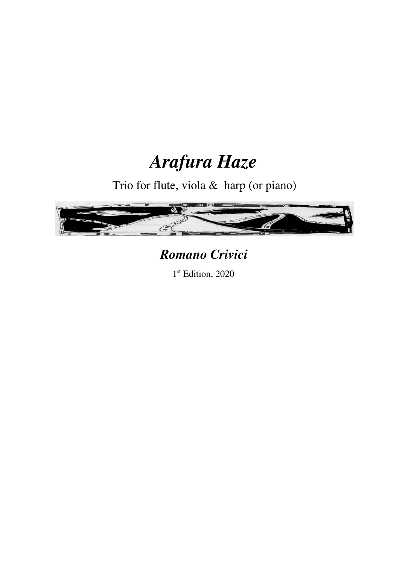# *Arafura Haze*

Trio for flute, viola & harp (or piano)



*Romano Crivici* 1<sup>st</sup> Edition, 2020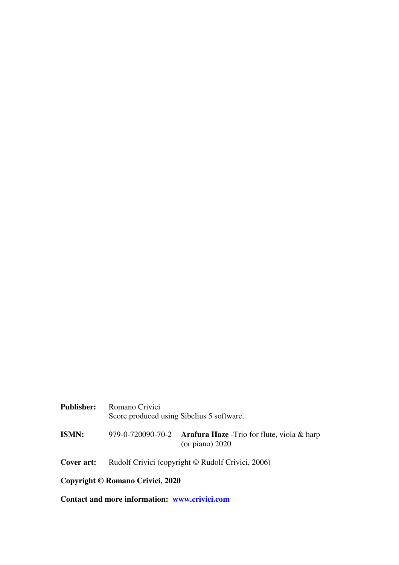### Publisher: Romano Crivici Score produced using Sibelius 5 software.

- **ISMN:** 979-0-720090-70-2 **Arafura Haze** -Trio for flute, viola & harp (or piano) 2020
- **Cover art:** Rudolf Crivici (copyright © Rudolf Crivici, 2006)

**Copyright © Romano Crivici, 2020**

**Contact and more information: www.crivici.com**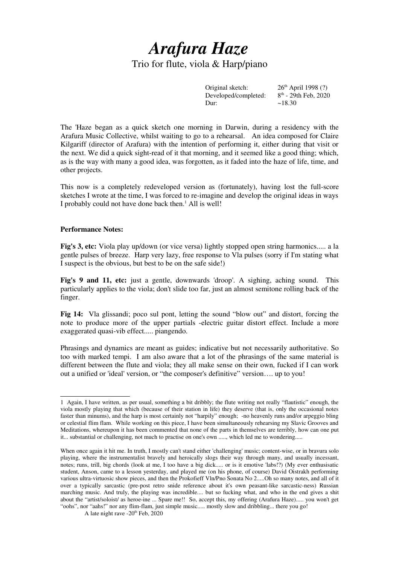## *Arafura Haze* Trio for flute, viola & Harp/piano

Original sketch:  $26<sup>th</sup>$  April 1998 (?)<br>Developed/completed:  $8<sup>th</sup>$  - 29th Feb, 2020 Developed/completed: Dur:  $\sim 18.30$ 

The 'Haze began as a quick sketch one morning in Darwin, during a residency with the Arafura Music Collective, whilst waiting to go to a rehearsal. An idea composed for Claire Kilgariff (director of Arafura) with the intention of performing it, either during that visit or the next. We did a quick sight-read of it that morning, and it seemed like a good thing; which, as is the way with many a good idea, was forgotten, as it faded into the haze of life, time, and other projects.

This now is a completely redeveloped version as (fortunately), having lost the full-score sketches I wrote at the time, I was forced to re-imagine and develop the original ideas in ways I probably could not have done back then.<sup>1</sup> All is well!

#### **Performance Notes:**

**Fig's 3, etc:** Viola play up/down (or vice versa) lightly stopped open string harmonics..... a la gentle pulses of breeze. Harp very lazy, free response to Vla pulses (sorry if I'm stating what I suspect is the obvious, but best to be on the safe side!)

**Fig's 9 and 11, etc:** just a gentle, downwards 'droop'. A sighing, aching sound. This particularly applies to the viola; don't slide too far, just an almost semitone rolling back of the finger.

**Fig 14:** Vla glissandi; poco sul pont, letting the sound "blow out" and distort, forcing the note to produce more of the upper partials -electric guitar distort effect. Include a more exaggerated quasi-vib effect..... piangendo.

Phrasings and dynamics are meant as guides; indicative but not necessarily authoritative. So too with marked tempi. I am also aware that a lot of the phrasings of the same material is different between the flute and viola; they all make sense on their own, fucked if I can work out a unified or 'ideal' version, or "the composer's definitive" version…. up to you!

<sup>1</sup> Again, I have written, as per usual, something a bit dribbly; the flute writing not really "flautistic" enough, the viola mostly playing that which (because of their station in life) they deserve (that is, only the occasional notes faster than minums), and the harp is most certainly not "harpily" enough; -no heavenly runs and/or arpeggio bling or celestial flim flam. While working on this piece, I have been simultaneously rehearsing my Slavic Grooves and Meditations, whereupon it has been commented that none of the parts in themselves are terribly, how can one put it... substantial or challenging, not much to practise on one's own ....., which led me to wondering.....

When once again it hit me. In truth, I mostly can't stand either 'challenging' music; content-wise, or in bravura solo playing, where the instrumentalist bravely and heroically slogs their way through many, and usually incessant, notes; runs, trill, big chords (look at me, I too have a big dick..... or is it emotive 'labs!?) (My ever enthusisatic student, Anson, came to a lesson yesterday, and played me (on his phone, of course) David Oistrakh performing various ultra-virtuosic show pieces, and then the Prokofieff Vln/Pno Sonata No 2.....Oh so many notes, and all of it over a typically sarcastic (pre-post retro snide reference about it's own peasant-like sarcastic-ness) Russian marching music. And truly, the playing was incredible.... but so fucking what, and who in the end gives a shit about the "artist/soloist/ as heroe-ine ... Spare me!! So, accept this, my offering (Arafura Haze)..... you won't get "oohs", nor "aahs!" nor any flim-flam, just simple music..... mostly slow and dribbling... there you go!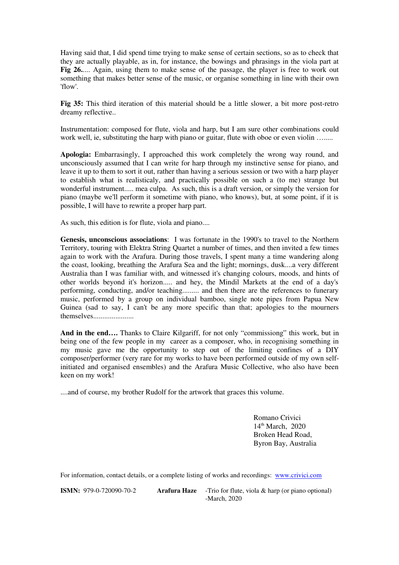Having said that, I did spend time trying to make sense of certain sections, so as to check that they are actually playable, as in, for instance, the bowings and phrasings in the viola part at **Fig 26.**.... Again, using them to make sense of the passage, the player is free to work out something that makes better sense of the music, or organise something in line with their own 'flow'.

**Fig 35:** This third iteration of this material should be a little slower, a bit more post-retro dreamy reflective..

Instrumentation: composed for flute, viola and harp, but I am sure other combinations could work well, ie, substituting the harp with piano or guitar, flute with oboe or even violin ….....

**Apologia:** Embarrasingly, I approached this work completely the wrong way round, and unconsciously assumed that I can write for harp through my instinctive sense for piano, and leave it up to them to sort it out, rather than having a serious session or two with a harp player to establish what is realisticaly, and practically possible on such a (to me) strange but wonderful instrument..... mea culpa. As such, this is a draft version, or simply the version for piano (maybe we'll perform it sometime with piano, who knows), but, at some point, if it is possible, I will have to rewrite a proper harp part.

As such, this edition is for flute, viola and piano....

**Genesis, unconscious associations**: I was fortunate in the 1990's to travel to the Northern Territory, touring with Elektra String Quartet a number of times, and then invited a few times again to work with the Arafura. During those travels, I spent many a time wandering along the coast, looking, breathing the Arafura Sea and the light; mornings, dusk....a very different Australia than I was familiar with, and witnessed it's changing colours, moods, and hints of other worlds beyond it's horizon..... and hey, the Mindil Markets at the end of a day's performing, conducting, and/or teaching......... and then there are the references to funerary music, performed by a group on individual bamboo, single note pipes from Papua New Guinea (sad to say, I can't be any more specific than that; apologies to the mourners themselves......................

And in the end.... Thanks to Claire Kilgariff, for not only "commissiong" this work, but in being one of the few people in my career as a composer, who, in recognising something in my music gave me the opportunity to step out of the limiting confines of a DIY composer/performer (very rare for my works to have been performed outside of my own selfinitiated and organised ensembles) and the Arafura Music Collective, who also have been keen on my work!

....and of course, my brother Rudolf for the artwork that graces this volume.

Romano Crivici  $14<sup>th</sup> March$ , 2020 Broken Head Road, Byron Bay, Australia

For information, contact details, or a complete listing of works and recordings: www.crivici.com

**ISMN:** 979-0-720090-70-2 **Arafura Haze** -Trio for flute, viola & harp (or piano optional) -March, 2020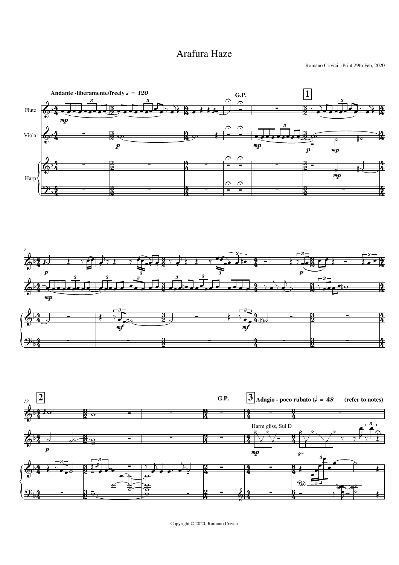### Arafura Haze

Romano Crivici -Print 29th Feb, 2020







Copyright © 2020, Romano Crivici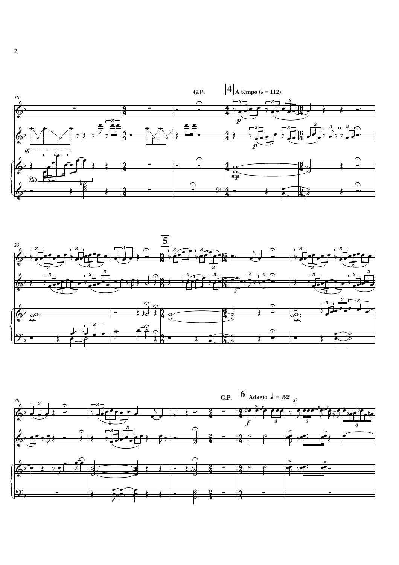



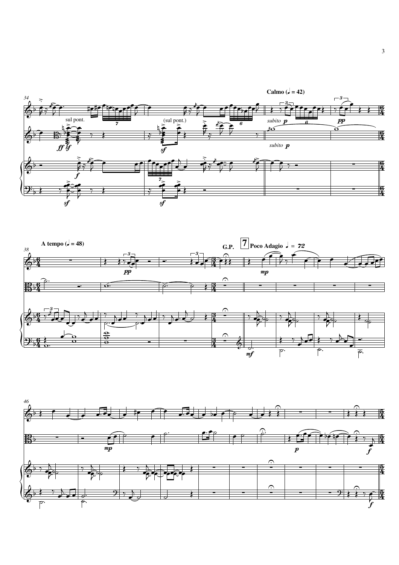



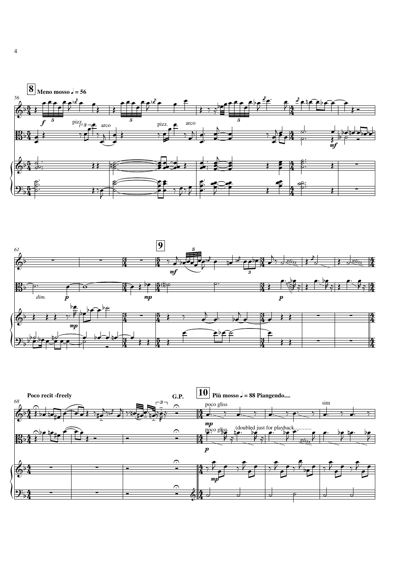



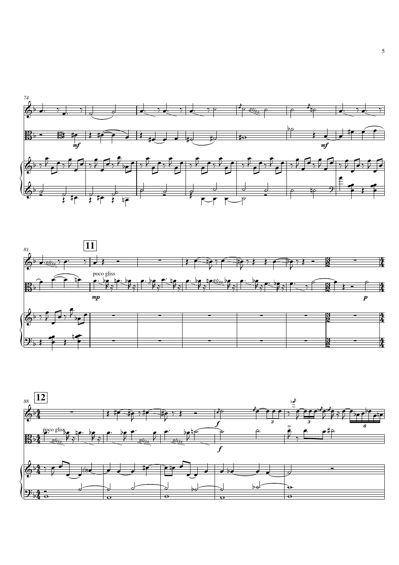



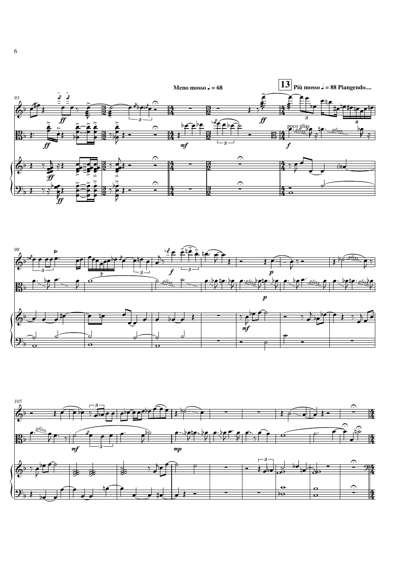



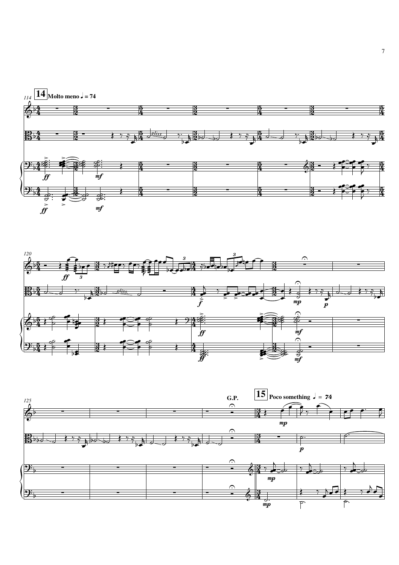



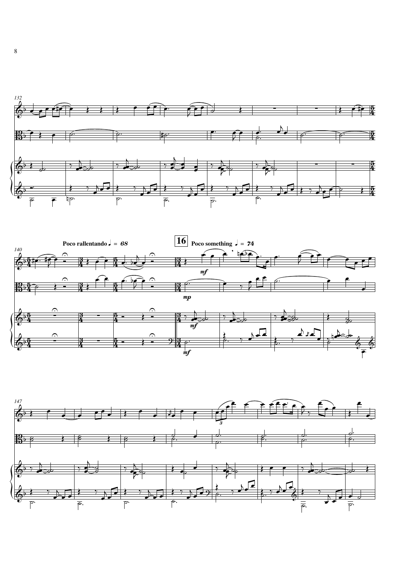



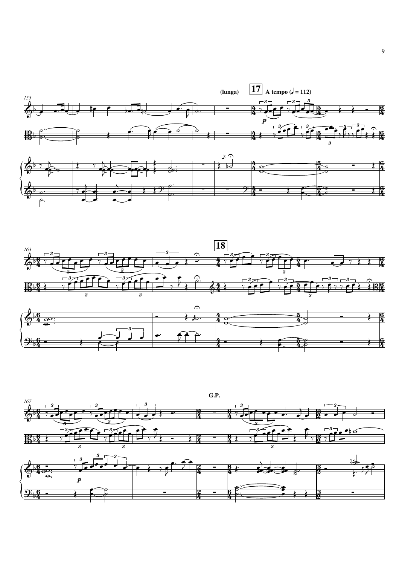



 $\overline{6}$ 6<br>4  $\overline{6}$ 6<br>4  $\overline{6}$ 6<br>4  $2\frac{6}{2}$ *167* 2  $\frac{2}{4}$ 2  $\frac{2}{4}$ 2 ž 2  $\frac{2}{4}$ **G.P.**  $\overline{6}$ 6<br>4  $\overline{6}$ 6<br>4  $6i$  $\overline{6}$ 6<br>4  $\frac{3}{2}$  $\frac{3}{2}$  $\frac{1}{2}$  ,  $\frac{3}{2}$  , 3  $\frac{3}{2}$ 3  $\begin{pmatrix} 0 & -1 & p \\ 0 & \frac{p}{p} & 1 & 0 \\ 0 & 0 & 0 & 0 \\ 0 & 0 & 0 & 0 \\ 0 & 0 & 0 & 0 \\ 0 & 0 & 0 & 0 \\ 0 & 0 & 0 & 0 \\ 0 & 0 & 0 & 0 \\ 0 & 0 & 0 & 0 \\ 0 & 0 & 0 & 0 \\ 0 & 0 & 0 & 0 \\ 0 & 0 & 0 & 0 \\ 0 & 0 & 0 & 0 \\ 0 & 0 & 0 & 0 \\ 0 & 0 & 0 & 0 \\ 0 & 0 & 0 & 0 & 0 \\ 0 & 0 & 0 & 0 & 0 \\ 0 &$  $\hat{\Phi}$  $\overline{\phantom{0}}$  $\overline{\phantom{a}}$  $\frac{1}{\sqrt{2}}$  $\frac{1}{\sqrt{2}}$ 3  $\frac{2}{4}$  -  $\frac{2}{4}$  -  $\frac{6}{4}$  $\sim$   $\sim$   $\sim$  $\overline{a}$  $\frac{3}{2}$ 。 3  $\overline{\phantom{a}}$ 3 3 3 3  $\frac{2}{3}$ 3  $\widehat{\mathbf{f}}$  $\frac{1}{7}$  $rac{3}{2}$ é  $\bullet$  $\rightarrow$  $\frac{1}{7}$  $\cdot$  $\frac{2}{3}$  -  $\frac{1}{3}$  -  $\frac{1}{3}$  -  $\frac{1}{3}$  -  $\frac{1}{3}$ é e  $\rightarrow$ ≹  $\bullet$  $37.67.7$   $-37.67.7$   $-12.7$   $-8.7$   $-27.6$   $-7.7$   $-14.6$ 3 3 3 3 3 3 कि ao.  $\frac{1}{2}$  $\frac{1}{2}$  $\overline{\mathbf{0}}$ .  $\boldsymbol{p}$  $\overline{\phantom{a}}$  $\overline{\phantom{a}}$  3  $\bullet$   $\leftarrow$   $\frac{1}{2}$   $\frac{1}{2}$   $\frac{1}{2}$ ₹  $\bullet$   $\epsilon$ ₹ è  $\overrightarrow{ }$  $\frac{1}{2}$  $\overline{a}$  $\bullet$  $\frac{1}{2}$  $\bullet$  $\frac{1}{2}$  $\vec{z}$  $8^{\circ}$   $\frac{3}{2}$  - $\overline{\mathbf{r}}$  $\theta$ <u>42</u>  $\overline{\phantom{a}}$ ♬ Ę ₹  $\frac{1}{2}$ 5 3 3  $\overline{\phantom{a}}$ e  $\frac{1}{2}$ e  $\frac{3}{2}$  -  $\frac{2}{3}$  g  $\frac{1}{2}$ ļ,  $\ddot{\cdot}$  $\frac{1}{2}$  $\epsilon$  $\bullet$   $\leftarrow$   $\leftarrow$   $\leftarrow$   $\leftarrow$   $\leftarrow$   $\leftarrow$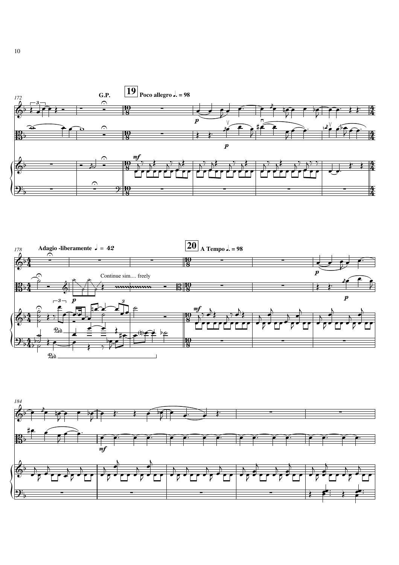



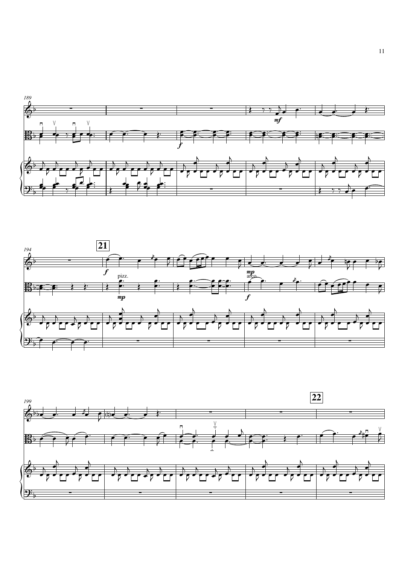



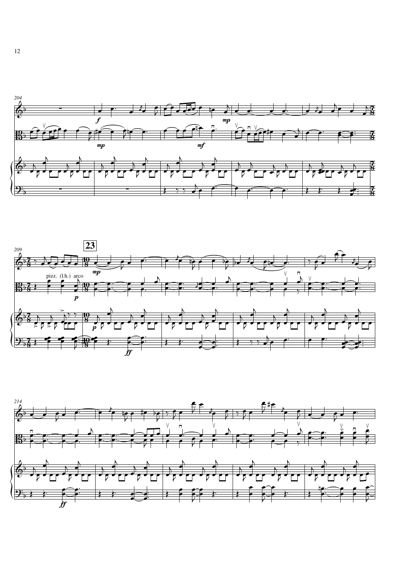



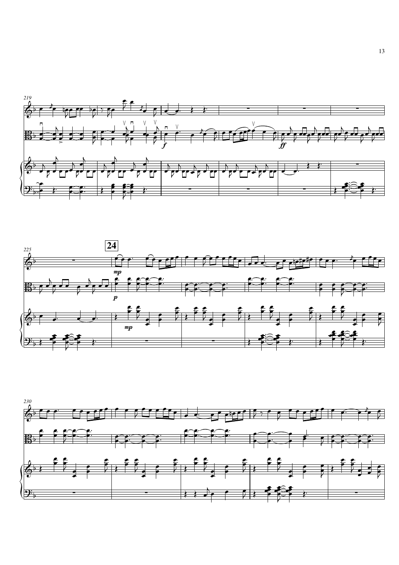



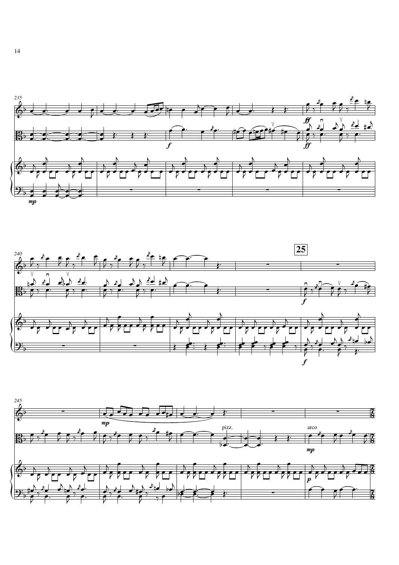



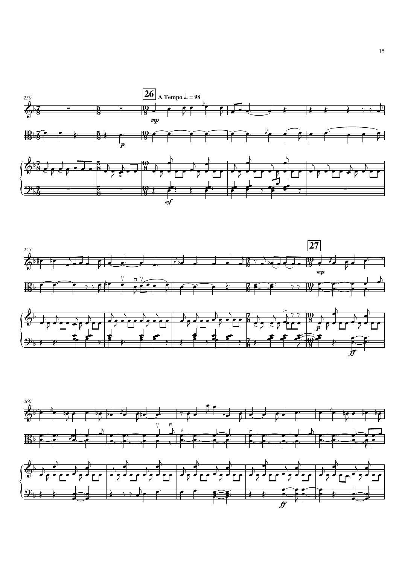



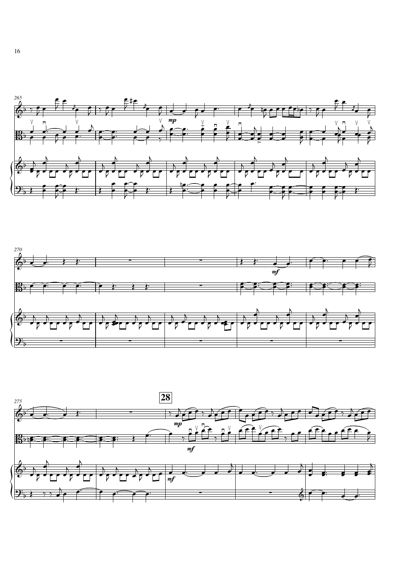



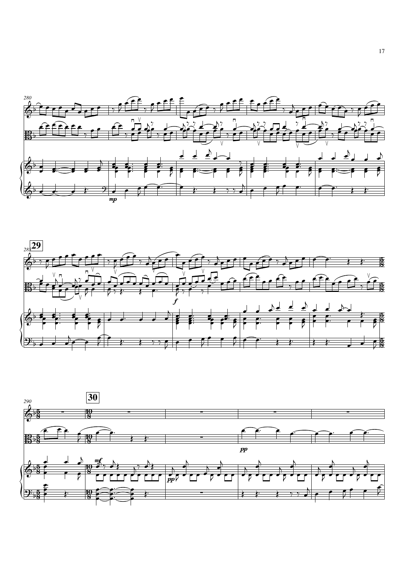



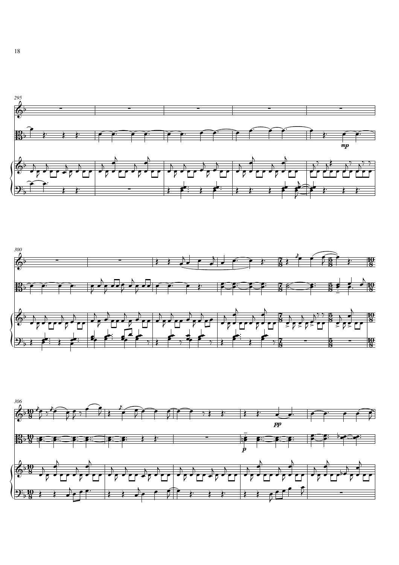



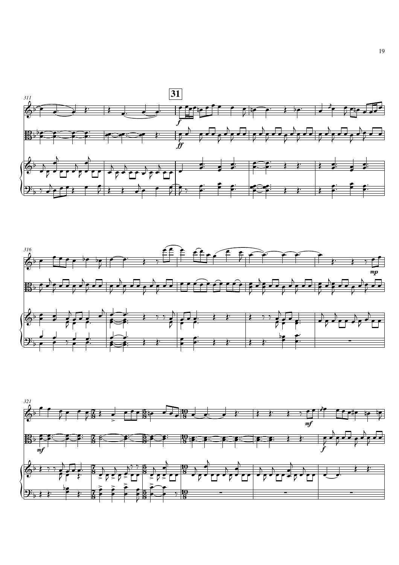



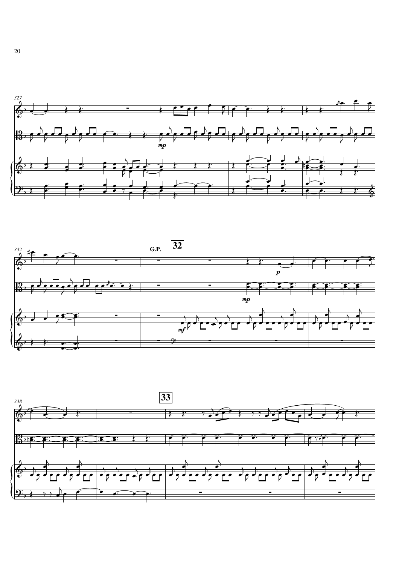



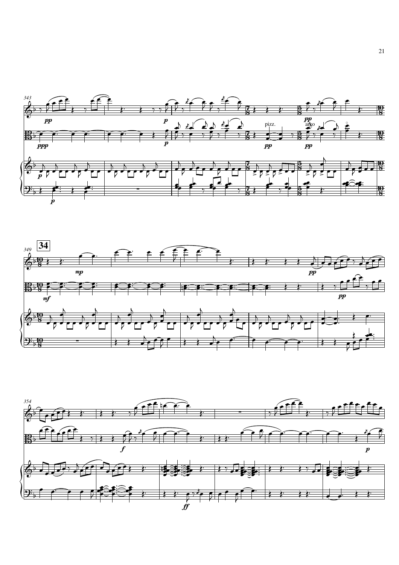



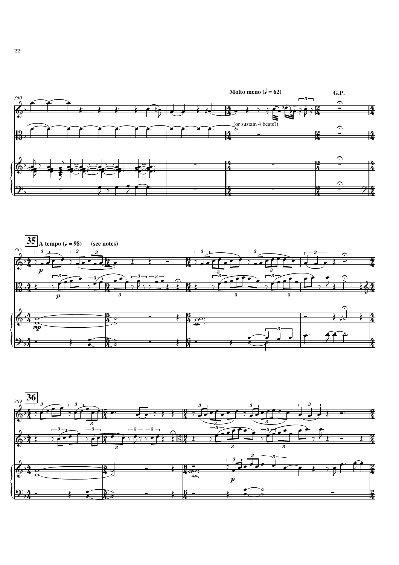